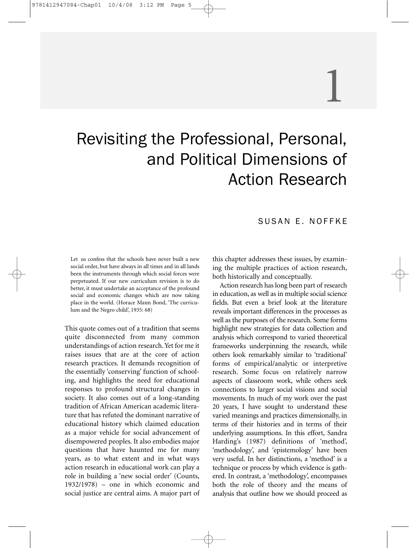# 1

# Revisiting the Professional, Personal, and Political Dimensions of Action Research

# SUSAN E. NOFFKE

Let us confess that the schools have never built a new social order, but have always in all times and in all lands been the instruments through which social forces were perpetuated. If our new curriculum revision is to do better, it must undertake an acceptance of the profound social and economic changes which are now taking place in the world. (Horace Mann Bond, 'The curriculum and the Negro child', 1935: 68)

This quote comes out of a tradition that seems quite disconnected from many common understandings of action research. Yet for me it raises issues that are at the core of action research practices. It demands recognition of the essentially 'conserving' function of schooling, and highlights the need for educational responses to profound structural changes in society. It also comes out of a long-standing tradition of African American academic literature that has refuted the dominant narrative of educational history which claimed education as a major vehicle for social advancement of disempowered peoples. It also embodies major questions that have haunted me for many years, as to what extent and in what ways action research in educational work can play a role in building a 'new social order' (Counts, 1932/1978) – one in which economic and social justice are central aims. A major part of

this chapter addresses these issues, by examining the multiple practices of action research, both historically and conceptually.

Action research has long been part of research in education, as well as in multiple social science fields. But even a brief look at the literature reveals important differences in the processes as well as the purposes of the research. Some forms highlight new strategies for data collection and analysis which correspond to varied theoretical frameworks underpinning the research, while others look remarkably similar to 'traditional' forms of empirical/analytic or interpretive research. Some focus on relatively narrow aspects of classroom work, while others seek connections to larger social visions and social movements. In much of my work over the past 20 years, I have sought to understand these varied meanings and practices dimensionally, in terms of their histories and in terms of their underlying assumptions. In this effort, Sandra Harding's (1987) definitions of 'method', 'methodology', and 'epistemology' have been very useful. In her distinctions, a 'method' is a technique or process by which evidence is gathered. In contrast, a 'methodology', encompasses both the role of theory and the means of analysis that outline how we should proceed as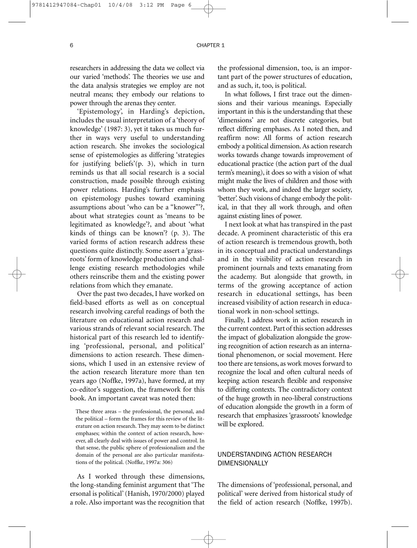researchers in addressing the data we collect via our varied 'methods'. The theories we use and the data analysis strategies we employ are not neutral means; they embody our relations to power through the arenas they center.

'Epistemology', in Harding's depiction, includes the usual interpretation of a 'theory of knowledge' (1987: 3), yet it takes us much further in ways very useful to understanding action research. She invokes the sociological sense of epistemologies as differing 'strategies for justifying beliefs'(p. 3), which in turn reminds us that all social research is a social construction, made possible through existing power relations. Harding's further emphasis on epistemology pushes toward examining assumptions about 'who can be a "knower"'?, about what strategies count as 'means to be legitimated as knowledge'?, and about 'what kinds of things can be known'? (p. 3). The varied forms of action research address these questions quite distinctly. Some assert a 'grassroots' form of knowledge production and challenge existing research methodologies while others reinscribe them and the existing power relations from which they emanate.

Over the past two decades, I have worked on field-based efforts as well as on conceptual research involving careful readings of both the literature on educational action research and various strands of relevant social research. The historical part of this research led to identifying 'professional, personal, and political' dimensions to action research. These dimensions, which I used in an extensive review of the action research literature more than ten years ago (Noffke, 1997a), have formed, at my co-editor's suggestion, the framework for this book. An important caveat was noted then:

These three areas – the professional, the personal, and the political – form the frames for this review of the literature on action research. They may seem to be distinct emphases; within the context of action research, however, all clearly deal with issues of power and control. In that sense, the public sphere of professionalism and the domain of the personal are also particular manifestations of the political. (Noffke, 1997a: 306)

As I worked through these dimensions, the long-standing feminist argument that 'The ersonal is political' (Hanish, 1970/2000) played a role. Also important was the recognition that the professional dimension, too, is an important part of the power structures of education, and as such, it, too, is political.

In what follows, I first trace out the dimensions and their various meanings. Especially important in this is the understanding that these 'dimensions' are not discrete categories, but reflect differing emphases. As I noted then, and reaffirm now: All forms of action research embody a political dimension. As action research works towards change towards improvement of educational practice (the action part of the dual term's meaning), it does so with a vision of what might make the lives of children and those with whom they work, and indeed the larger society, 'better'. Such visions of change embody the political, in that they all work through, and often against existing lines of power.

I next look at what has transpired in the past decade. A prominent characteristic of this era of action research is tremendous growth, both in its conceptual and practical understandings and in the visibility of action research in prominent journals and texts emanating from the academy. But alongside that growth, in terms of the growing acceptance of action research in educational settings, has been increased visibility of action research in educational work in non-school settings.

Finally, I address work in action research in the current context. Part of this section addresses the impact of globalization alongside the growing recognition of action research as an international phenomenon, or social movement. Here too there are tensions, as work moves forward to recognize the local and often cultural needs of keeping action research flexible and responsive to differing contexts. The contradictory context of the huge growth in neo-liberal constructions of education alongside the growth in a form of research that emphasizes 'grassroots' knowledge will be explored.

## UNDERSTANDING ACTION RESEARCH DIMENSIONALLY

The dimensions of 'professional, personal, and political' were derived from historical study of the field of action research (Noffke, 1997b).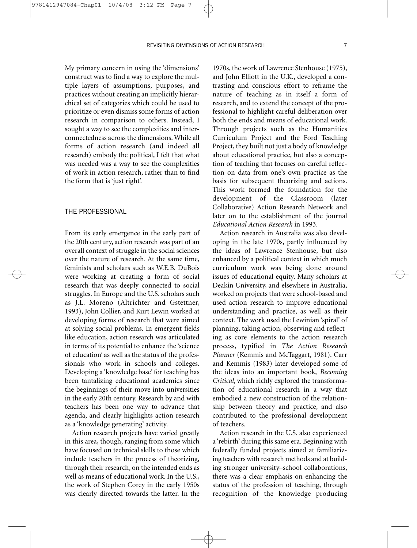My primary concern in using the 'dimensions' construct was to find a way to explore the multiple layers of assumptions, purposes, and practices without creating an implicitly hierarchical set of categories which could be used to prioritize or even dismiss some forms of action research in comparison to others. Instead, I sought a way to see the complexities and interconnectedness across the dimensions. While all forms of action research (and indeed all research) embody the political, I felt that what was needed was a way to see the complexities of work in action research, rather than to find the form that is 'just right'.

#### THE PROFESSIONAL

From its early emergence in the early part of the 20th century, action research was part of an overall context of struggle in the social sciences over the nature of research. At the same time, feminists and scholars such as W.E.B. DuBois were working at creating a form of social research that was deeply connected to social struggles. In Europe and the U.S. scholars such as J.L. Moreno (Altrichter and Gstettner, 1993), John Collier, and Kurt Lewin worked at developing forms of research that were aimed at solving social problems. In emergent fields like education, action research was articulated in terms of its potential to enhance the 'science of education' as well as the status of the professionals who work in schools and colleges. Developing a 'knowledge base' for teaching has been tantalizing educational academics since the beginnings of their move into universities in the early 20th century. Research by and with teachers has been one way to advance that agenda, and clearly highlights action research as a 'knowledge generating' activity.

Action research projects have varied greatly in this area, though, ranging from some which have focused on technical skills to those which include teachers in the process of theorizing, through their research, on the intended ends as well as means of educational work. In the U.S., the work of Stephen Corey in the early 1950s was clearly directed towards the latter. In the

1970s, the work of Lawrence Stenhouse (1975), and John Elliott in the U.K., developed a contrasting and conscious effort to reframe the nature of teaching as in itself a form of research, and to extend the concept of the professional to highlight careful deliberation over both the ends and means of educational work. Through projects such as the Humanities Curriculum Project and the Ford Teaching Project, they built not just a body of knowledge about educational practice, but also a conception of teaching that focuses on careful reflection on data from one's own practice as the basis for subsequent theorizing and actions. This work formed the foundation for the development of the Classroom (later Collaborative) Action Research Network and later on to the establishment of the journal *Educational Action Research* in 1993.

Action research in Australia was also developing in the late 1970s, partly influenced by the ideas of Lawrence Stenhouse, but also enhanced by a political context in which much curriculum work was being done around issues of educational equity. Many scholars at Deakin University, and elsewhere in Australia, worked on projects that were school-based and used action research to improve educational understanding and practice, as well as their context. The work used the Lewinian 'spiral' of planning, taking action, observing and reflecting as core elements to the action research process, typified in *The Action Research Planner* (Kemmis and McTaggart, 1981). Carr and Kemmis (1983) later developed some of the ideas into an important book, *Becoming Critical*, which richly explored the transformation of educational research in a way that embodied a new construction of the relationship between theory and practice, and also contributed to the professional development of teachers.

Action research in the U.S. also experienced a 'rebirth' during this same era. Beginning with federally funded projects aimed at familiarizing teachers with research methods and at building stronger university–school collaborations, there was a clear emphasis on enhancing the status of the profession of teaching, through recognition of the knowledge producing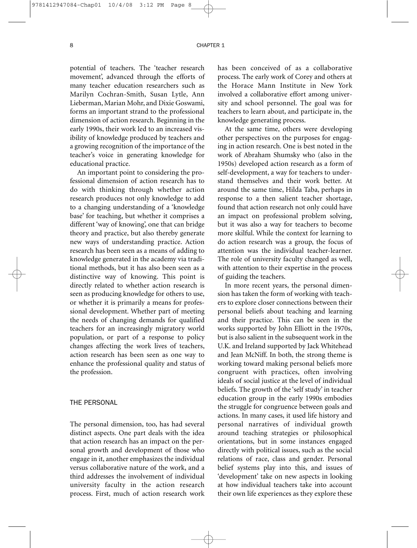potential of teachers. The 'teacher research movement', advanced through the efforts of many teacher education researchers such as Marilyn Cochran-Smith, Susan Lytle, Ann Lieberman, Marian Mohr, and Dixie Goswami, forms an important strand to the professional dimension of action research. Beginning in the early 1990s, their work led to an increased visibility of knowledge produced by teachers and a growing recognition of the importance of the teacher's voice in generating knowledge for educational practice.

An important point to considering the professional dimension of action research has to do with thinking through whether action research produces not only knowledge to add to a changing understanding of a 'knowledge base' for teaching, but whether it comprises a different 'way of knowing', one that can bridge theory and practice, but also thereby generate new ways of understanding practice. Action research has been seen as a means of adding to knowledge generated in the academy via traditional methods, but it has also been seen as a distinctive way of knowing. This point is directly related to whether action research is seen as producing knowledge for others to use, or whether it is primarily a means for professional development. Whether part of meeting the needs of changing demands for qualified teachers for an increasingly migratory world population, or part of a response to policy changes affecting the work lives of teachers, action research has been seen as one way to enhance the professional quality and status of the profession.

#### THE PERSONAL

The personal dimension, too, has had several distinct aspects. One part deals with the idea that action research has an impact on the personal growth and development of those who engage in it, another emphasizes the individual versus collaborative nature of the work, and a third addresses the involvement of individual university faculty in the action research process. First, much of action research work has been conceived of as a collaborative process. The early work of Corey and others at the Horace Mann Institute in New York involved a collaborative effort among university and school personnel. The goal was for teachers to learn about, and participate in, the knowledge generating process.

At the same time, others were developing other perspectives on the purposes for engaging in action research. One is best noted in the work of Abraham Shumsky who (also in the 1950s) developed action research as a form of self-development, a way for teachers to understand themselves and their work better. At around the same time, Hilda Taba, perhaps in response to a then salient teacher shortage, found that action research not only could have an impact on professional problem solving, but it was also a way for teachers to become more skilful. While the context for learning to do action research was a group, the focus of attention was the individual teacher-learner. The role of university faculty changed as well, with attention to their expertise in the process of guiding the teachers.

In more recent years, the personal dimension has taken the form of working with teachers to explore closer connections between their personal beliefs about teaching and learning and their practice. This can be seen in the works supported by John Elliott in the 1970s, but is also salient in the subsequent work in the U.K. and Ireland supported by Jack Whitehead and Jean McNiff. In both, the strong theme is working toward making personal beliefs more congruent with practices, often involving ideals of social justice at the level of individual beliefs. The growth of the 'self study' in teacher education group in the early 1990s embodies the struggle for congruence between goals and actions. In many cases, it used life history and personal narratives of individual growth around teaching strategies or philosophical orientations, but in some instances engaged directly with political issues, such as the social relations of race, class and gender. Personal belief systems play into this, and issues of 'development' take on new aspects in looking at how individual teachers take into account their own life experiences as they explore these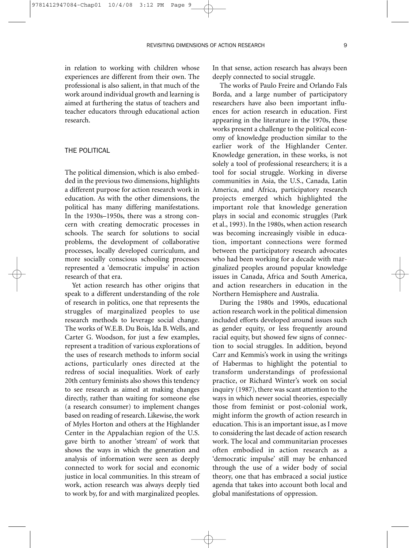in relation to working with children whose experiences are different from their own. The professional is also salient, in that much of the work around individual growth and learning is aimed at furthering the status of teachers and teacher educators through educational action research.

#### THE POLITICAL

The political dimension, which is also embedded in the previous two dimensions, highlights a different purpose for action research work in education. As with the other dimensions, the political has many differing manifestations. In the 1930s–1950s, there was a strong concern with creating democratic processes in schools. The search for solutions to social problems, the development of collaborative processes, locally developed curriculum, and more socially conscious schooling processes represented a 'democratic impulse' in action research of that era.

Yet action research has other origins that speak to a different understanding of the role of research in politics, one that represents the struggles of marginalized peoples to use research methods to leverage social change. The works of W.E.B. Du Bois, Ida B. Wells, and Carter G. Woodson, for just a few examples, represent a tradition of various explorations of the uses of research methods to inform social actions, particularly ones directed at the redress of social inequalities. Work of early 20th century feminists also shows this tendency to see research as aimed at making changes directly, rather than waiting for someone else (a research consumer) to implement changes based on reading of research. Likewise, the work of Myles Horton and others at the Highlander Center in the Appalachian region of the U.S. gave birth to another 'stream' of work that shows the ways in which the generation and analysis of information were seen as deeply connected to work for social and economic justice in local communities. In this stream of work, action research was always deeply tied to work by, for and with marginalized peoples. In that sense, action research has always been deeply connected to social struggle.

The works of Paulo Freire and Orlando Fals Borda, and a large number of participatory researchers have also been important influences for action research in education. First appearing in the literature in the 1970s, these works present a challenge to the political economy of knowledge production similar to the earlier work of the Highlander Center. Knowledge generation, in these works, is not solely a tool of professional researchers; it is a tool for social struggle. Working in diverse communities in Asia, the U.S., Canada, Latin America, and Africa, participatory research projects emerged which highlighted the important role that knowledge generation plays in social and economic struggles (Park et al., 1993). In the 1980s, when action research was becoming increasingly visible in education, important connections were formed between the participatory research advocates who had been working for a decade with marginalized peoples around popular knowledge issues in Canada, Africa and South America, and action researchers in education in the Northern Hemisphere and Australia.

During the 1980s and 1990s, educational action research work in the political dimension included efforts developed around issues such as gender equity, or less frequently around racial equity, but showed few signs of connection to social struggles. In addition, beyond Carr and Kemmis's work in using the writings of Habermas to highlight the potential to transform understandings of professional practice, or Richard Winter's work on social inquiry (1987), there was scant attention to the ways in which newer social theories, especially those from feminist or post-colonial work, might inform the growth of action research in education. This is an important issue, as I move to considering the last decade of action research work. The local and communitarian processes often embodied in action research as a 'democratic impulse' still may be enhanced through the use of a wider body of social theory, one that has embraced a social justice agenda that takes into account both local and global manifestations of oppression.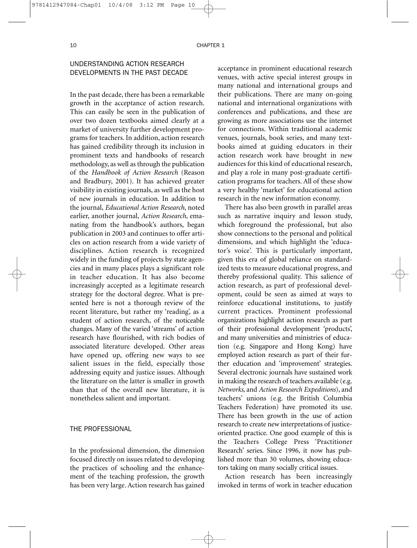# UNDERSTANDING ACTION RESEARCH DEVELOPMENTS IN THE PAST DECADE

In the past decade, there has been a remarkable growth in the acceptance of action research. This can easily be seen in the publication of over two dozen textbooks aimed clearly at a market of university further development programs for teachers. In addition, action research has gained credibility through its inclusion in prominent texts and handbooks of research methodology, as well as through the publication of the *Handbook of Action Research* (Reason and Bradbury, 2001). It has achieved greater visibility in existing journals, as well as the host of new journals in education. In addition to the journal, *Educational Action Research*, noted earlier, another journal, *Action Research*, emanating from the handbook's authors, began publication in 2003 and continues to offer articles on action research from a wide variety of disciplines. Action research is recognized widely in the funding of projects by state agencies and in many places plays a significant role in teacher education. It has also become increasingly accepted as a legitimate research strategy for the doctoral degree. What is presented here is not a thorough review of the recent literature, but rather my 'reading', as a student of action research, of the noticeable changes. Many of the varied 'streams' of action research have flourished, with rich bodies of associated literature developed. Other areas have opened up, offering new ways to see salient issues in the field, especially those addressing equity and justice issues. Although the literature on the latter is smaller in growth than that of the overall new literature, it is nonetheless salient and important.

#### THE PROFESSIONAL

In the professional dimension, the dimension focused directly on issues related to developing the practices of schooling and the enhancement of the teaching profession, the growth has been very large. Action research has gained acceptance in prominent educational research venues, with active special interest groups in many national and international groups and their publications. There are many on-going national and international organizations with conferences and publications, and these are growing as more associations use the internet for connections. Within traditional academic venues, journals, book series, and many textbooks aimed at guiding educators in their action research work have brought in new audiences for this kind of educational research, and play a role in many post-graduate certification programs for teachers. All of these show a very healthy 'market' for educational action research in the new information economy.

There has also been growth in parallel areas such as narrative inquiry and lesson study, which foreground the professional, but also show connections to the personal and political dimensions, and which highlight the 'educator's voice'. This is particularly important, given this era of global reliance on standardized tests to measure educational progress, and thereby professional quality. This salience of action research, as part of professional development, could be seen as aimed at ways to reinforce educational institutions, to justify current practices. Prominent professional organizations highlight action research as part of their professional development 'products', and many universities and ministries of education (e.g. Singapore and Hong Kong) have employed action research as part of their further education and 'improvement' strategies. Several electronic journals have sustained work in making the research of teachers available (e.g. *Networks*, and *Action Research Expeditions*), and teachers' unions (e.g. the British Columbia Teachers Federation) have promoted its use. There has been growth in the use of action research to create new interpretations of justiceoriented practice. One good example of this is the Teachers College Press 'Practitioner Research' series. Since 1996, it now has published more than 30 volumes, showing educators taking on many socially critical issues.

Action research has been increasingly invoked in terms of work in teacher education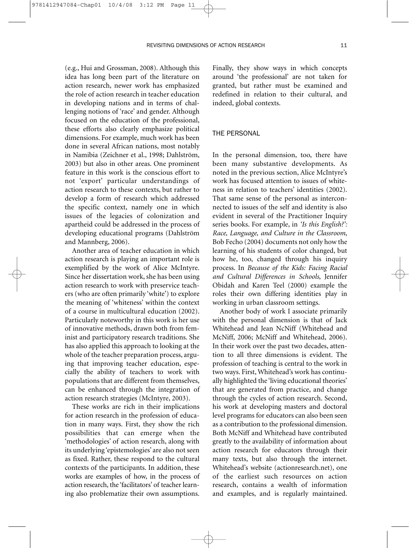(e.g., Hui and Grossman, 2008). Although this idea has long been part of the literature on action research, newer work has emphasized the role of action research in teacher education in developing nations and in terms of challenging notions of 'race' and gender. Although focused on the education of the professional, these efforts also clearly emphasize political dimensions. For example, much work has been done in several African nations, most notably in Namibia (Zeichner et al., 1998; Dahlström, 2003) but also in other areas. One prominent feature in this work is the conscious effort to

9781412947084-Chap01 10/4/08 3:12 PM Page 11

not 'export' particular understandings of action research to these contexts, but rather to develop a form of research which addressed the specific context, namely one in which issues of the legacies of colonization and apartheid could be addressed in the process of developing educational programs (Dahlström and Mannberg, 2006).

Another area of teacher education in which action research is playing an important role is exemplified by the work of Alice McIntyre. Since her dissertation work, she has been using action research to work with preservice teachers (who are often primarily 'white') to explore the meaning of 'whiteness' within the context of a course in multicultural education (2002). Particularly noteworthy in this work is her use of innovative methods, drawn both from feminist and participatory research traditions. She has also applied this approach to looking at the whole of the teacher preparation process, arguing that improving teacher education, especially the ability of teachers to work with populations that are different from themselves, can be enhanced through the integration of action research strategies (McIntyre, 2003).

These works are rich in their implications for action research in the profession of education in many ways. First, they show the rich possibilities that can emerge when the 'methodologies' of action research, along with its underlying 'epistemologies' are also not seen as fixed. Rather, these respond to the cultural contexts of the participants. In addition, these works are examples of how, in the process of action research, the 'facilitators' of teacher learning also problematize their own assumptions.

Finally, they show ways in which concepts around 'the professional' are not taken for granted, but rather must be examined and redefined in relation to their cultural, and indeed, global contexts.

#### THE PERSONAL

In the personal dimension, too, there have been many substantive developments. As noted in the previous section, Alice McIntyre's work has focused attention to issues of whiteness in relation to teachers' identities (2002). That same sense of the personal as interconnected to issues of the self and identity is also evident in several of the Practitioner Inquiry series books. For example, in *'Is this English?': Race, Language, and Culture in the Classroom*, Bob Fecho (2004) documents not only how the learning of his students of color changed, but how he, too, changed through his inquiry process. In *Because of the Kids: Facing Racial and Cultural Differences in Schools*, Jennifer Obidah and Karen Teel (2000) example the roles their own differing identities play in working in urban classroom settings.

Another body of work I associate primarily with the personal dimension is that of Jack Whitehead and Jean NcNiff (Whitehead and McNiff, 2006; McNiff and Whitehead, 2006). In their work over the past two decades, attention to all three dimensions is evident. The profession of teaching is central to the work in two ways. First, Whitehead's work has continually highlighted the 'living educational theories' that are generated from practice, and change through the cycles of action research. Second, his work at developing masters and doctoral level programs for educators can also been seen as a contribution to the professional dimension. Both McNiff and Whitehead have contributed greatly to the availability of information about action research for educators through their many texts, but also through the internet. Whitehead's website (actionresearch.net), one of the earliest such resources on action research, contains a wealth of information and examples, and is regularly maintained.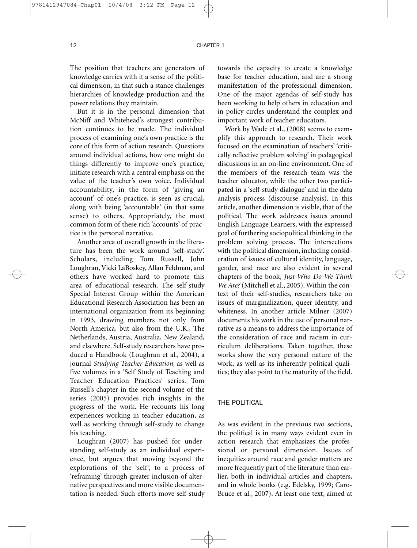The position that teachers are generators of knowledge carries with it a sense of the political dimension, in that such a stance challenges hierarchies of knowledge production and the power relations they maintain.

But it is in the personal dimension that McNiff and Whitehead's strongest contribution continues to be made. The individual process of examining one's own practice is the core of this form of action research. Questions around individual actions, how one might do things differently to improve one's practice, initiate research with a central emphasis on the value of the teacher's own voice. Individual accountability, in the form of 'giving an account' of one's practice, is seen as crucial, along with being 'accountable' (in that same sense) to others. Appropriately, the most common form of these rich 'accounts' of practice is the personal narrative.

Another area of overall growth in the literature has been the work around 'self-study'. Scholars, including Tom Russell, John Loughran, Vicki LaBoskey, Allan Feldman, and others have worked hard to promote this area of educational research. The self-study Special Interest Group within the American Educational Research Association has been an international organization from its beginning in 1993, drawing members not only from North America, but also from the U.K., The Netherlands, Austria, Australia, New Zealand, and elsewhere. Self-study researchers have produced a Handbook (Loughran et al., 2004), a journal *Studying Teacher Education*, as well as five volumes in a 'Self Study of Teaching and Teacher Education Practices' series. Tom Russell's chapter in the second volume of the series (2005) provides rich insights in the progress of the work. He recounts his long experiences working in teacher education, as well as working through self-study to change his teaching.

Loughran (2007) has pushed for understanding self-study as an individual experience, but argues that moving beyond the explorations of the 'self', to a process of 'reframing' through greater inclusion of alternative perspectives and more visible documentation is needed. Such efforts move self-study towards the capacity to create a knowledge base for teacher education, and are a strong manifestation of the professional dimension. One of the major agendas of self-study has been working to help others in education and in policy circles understand the complex and important work of teacher educators.

Work by Wade et al., (2008) seems to exemplify this approach to research. Their work focused on the examination of teachers' 'critically reflective problem solving' in pedagogical discussions in an on-line environment. One of the members of the research team was the teacher educator, while the other two participated in a 'self-study dialogue' and in the data analysis process (discourse analysis). In this article, another dimension is visible, that of the political. The work addresses issues around English Language Learners, with the expressed goal of furthering sociopolitical thinking in the problem solving process. The intersections with the political dimension, including consideration of issues of cultural identity, language, gender, and race are also evident in several chapters of the book, *Just Who Do We Think We Are?* (Mitchell et al., 2005). Within the context of their self-studies, researchers take on issues of marginalization, queer identity, and whiteness. In another article Milner (2007) documents his work in the use of personal narrative as a means to address the importance of the consideration of race and racism in curriculum deliberations. Taken together, these works show the very personal nature of the work, as well as its inherently political qualities; they also point to the maturity of the field.

#### THE POLITICAL

As was evident in the previous two sections, the political is in many ways evident even in action research that emphasizes the professional or personal dimension. Issues of inequities around race and gender matters are more frequently part of the literature than earlier, both in individual articles and chapters, and in whole books (e.g. Edelsky, 1999; Caro-Bruce et al., 2007). At least one text, aimed at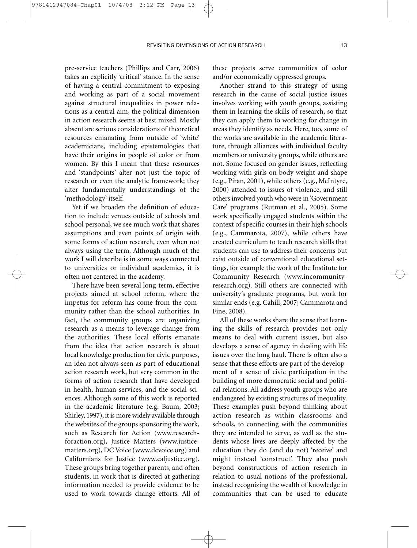pre-service teachers (Phillips and Carr, 2006) takes an explicitly 'critical' stance. In the sense of having a central commitment to exposing and working as part of a social movement against structural inequalities in power relations as a central aim, the political dimension in action research seems at best mixed. Mostly absent are serious considerations of theoretical resources emanating from outside of 'white' academicians, including epistemologies that have their origins in people of color or from women. By this I mean that these resources and 'standpoints' alter not just the topic of research or even the analytic framework; they alter fundamentally understandings of the 'methodology' itself.

Yet if we broaden the definition of education to include venues outside of schools and school personal, we see much work that shares assumptions and even points of origin with some forms of action research, even when not always using the term. Although much of the work I will describe is in some ways connected to universities or individual academics, it is often not centered in the academy.

There have been several long-term, effective projects aimed at school reform, where the impetus for reform has come from the community rather than the school authorities. In fact, the community groups are organizing research as a means to leverage change from the authorities. These local efforts emanate from the idea that action research is about local knowledge production for civic purposes, an idea not always seen as part of educational action research work, but very common in the forms of action research that have developed in health, human services, and the social sciences. Although some of this work is reported in the academic literature (e.g. Baum, 2003; Shirley, 1997), it is more widely available through the websites of the groups sponsoring the work, such as Research for Action (www.researchforaction.org), Justice Matters (www.justicematters.org), DC Voice (www.dcvoice.org) and Californians for Justice (www.caljustice.org). These groups bring together parents, and often students, in work that is directed at gathering information needed to provide evidence to be used to work towards change efforts. All of these projects serve communities of color and/or economically oppressed groups.

Another strand to this strategy of using research in the cause of social justice issues involves working with youth groups, assisting them in learning the skills of research, so that they can apply them to working for change in areas they identify as needs. Here, too, some of the works are available in the academic literature, through alliances with individual faculty members or university groups, while others are not. Some focused on gender issues, reflecting working with girls on body weight and shape (e.g., Piran, 2001), while others (e.g., McIntyre, 2000) attended to issues of violence, and still others involved youth who were in 'Government Care' programs (Rutman et al., 2005). Some work specifically engaged students within the context of specific courses in their high schools (e.g., Cammarota, 2007), while others have created curriculum to teach research skills that students can use to address their concerns but exist outside of conventional educational settings, for example the work of the Institute for Community Research (www.incommunityresearch.org). Still others are connected with university's graduate programs, but work for similar ends (e.g. Cahill, 2007; Cammarota and Fine, 2008).

All of these works share the sense that learning the skills of research provides not only means to deal with current issues, but also develops a sense of agency in dealing with life issues over the long haul. There is often also a sense that these efforts are part of the development of a sense of civic participation in the building of more democratic social and political relations. All address youth groups who are endangered by existing structures of inequality. These examples push beyond thinking about action research as within classrooms and schools, to connecting with the communities they are intended to serve, as well as the students whose lives are deeply affected by the education they do (and do not) 'receive' and might instead 'construct'. They also push beyond constructions of action research in relation to usual notions of the professional, instead recognizing the wealth of knowledge in communities that can be used to educate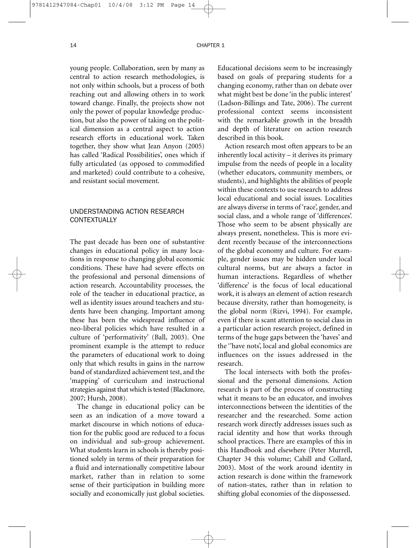young people. Collaboration, seen by many as central to action research methodologies, is not only within schools, but a process of both reaching out and allowing others in to work toward change. Finally, the projects show not only the power of popular knowledge production, but also the power of taking on the political dimension as a central aspect to action research efforts in educational work. Taken together, they show what Jean Anyon (2005) has called 'Radical Possibilities', ones which if fully articulated (as opposed to commodified and marketed) could contribute to a cohesive, and resistant social movement.

## UNDERSTANDING ACTION RESEARCH CONTEXTUALLY

The past decade has been one of substantive changes in educational policy in many locations in response to changing global economic conditions. These have had severe effects on the professional and personal dimensions of action research. Accountability processes, the role of the teacher in educational practice, as well as identity issues around teachers and students have been changing. Important among these has been the widespread influence of neo-liberal policies which have resulted in a culture of 'performativity' (Ball, 2003). One prominent example is the attempt to reduce the parameters of educational work to doing only that which results in gains in the narrow band of standardized achievement test, and the 'mapping' of curriculum and instructional strategies against that which is tested (Blackmore, 2007; Hursh, 2008).

The change in educational policy can be seen as an indication of a move toward a market discourse in which notions of education for the public good are reduced to a focus on individual and sub-group achievement. What students learn in schools is thereby positioned solely in terms of their preparation for a fluid and internationally competitive labour market, rather than in relation to some sense of their participation in building more socially and economically just global societies. Educational decisions seem to be increasingly based on goals of preparing students for a changing economy, rather than on debate over what might best be done 'in the public interest' (Ladson-Billings and Tate, 2006). The current professional context seems inconsistent with the remarkable growth in the breadth and depth of literature on action research described in this book.

Action research most often appears to be an inherently local activity – it derives its primary impulse from the needs of people in a locality (whether educators, community members, or students), and highlights the abilities of people within these contexts to use research to address local educational and social issues. Localities are always diverse in terms of 'race', gender, and social class, and a whole range of 'differences'. Those who seem to be absent physically are always present, nonetheless. This is more evident recently because of the interconnections of the global economy and culture. For example, gender issues may be hidden under local cultural norms, but are always a factor in human interactions. Regardless of whether 'difference' is the focus of local educational work, it is always an element of action research because diversity, rather than homogeneity, is the global norm (Rizvi, 1994). For example, even if there is scant attention to social class in a particular action research project, defined in terms of the huge gaps between the 'haves' and the ''have nots', local and global economics are influences on the issues addressed in the research.

The local intersects with both the professional and the personal dimensions. Action research is part of the process of constructing what it means to be an educator, and involves interconnections between the identities of the researcher and the researched. Some action research work directly addresses issues such as racial identity and how that works through school practices. There are examples of this in this Handbook and elsewhere (Peter Murrell, Chapter 34 this volume; Cahill and Collard, 2003). Most of the work around identity in action research is done within the framework of nation-states, rather than in relation to shifting global economies of the dispossessed.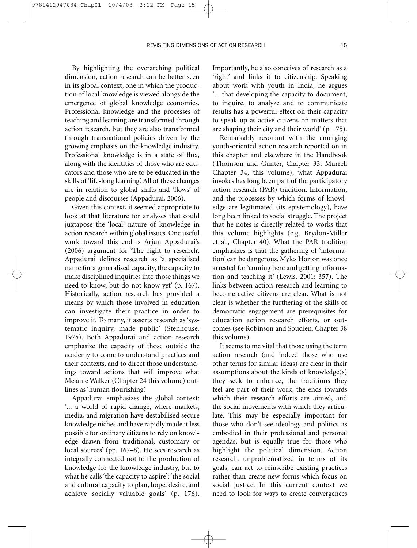By highlighting the overarching political dimension, action research can be better seen in its global context, one in which the production of local knowledge is viewed alongside the emergence of global knowledge economies. Professional knowledge and the processes of teaching and learning are transformed through action research, but they are also transformed through transnational policies driven by the growing emphasis on the knowledge industry. Professional knowledge is in a state of flux, along with the identities of those who are educators and those who are to be educated in the skills of 'life-long learning'. All of these changes are in relation to global shifts and 'flows' of people and discourses (Appadurai, 2006).

Given this context, it seemed appropriate to look at that literature for analyses that could juxtapose the 'local' nature of knowledge in action research within global issues. One useful work toward this end is Arjun Appadurai's (2006) argument for 'The right to research'. Appadurai defines research as 'a specialised name for a generalised capacity, the capacity to make disciplined inquiries into those things we need to know, but do not know yet' (p. 167). Historically, action research has provided a means by which those involved in education can investigate their practice in order to improve it. To many, it asserts research as 'systematic inquiry, made public' (Stenhouse, 1975). Both Appadurai and action research emphasize the capacity of those outside the academy to come to understand practices and their contexts, and to direct those understandings toward actions that will improve what Melanie Walker (Chapter 24 this volume) outlines as 'human flourishing'.

Appadurai emphasizes the global context: '... a world of rapid change, where markets, media, and migration have destabilised secure knowledge niches and have rapidly made it less possible for ordinary citizens to rely on knowledge drawn from traditional, customary or local sources' (pp. 167–8). He sees research as integrally connected not to the production of knowledge for the knowledge industry, but to what he calls 'the capacity to aspire': 'the social and cultural capacity to plan, hope, desire, and achieve socially valuable goals' (p. 176). Importantly, he also conceives of research as a 'right' and links it to citizenship. Speaking about work with youth in India, he argues '... that developing the capacity to document, to inquire, to analyze and to communicate results has a powerful effect on their capacity to speak up as active citizens on matters that are shaping their city and their world' (p. 175).

Remarkably resonant with the emerging youth-oriented action research reported on in this chapter and elsewhere in the Handbook (Thomson and Gunter, Chapter 33; Murrell Chapter 34, this volume), what Appadurai invokes has long been part of the participatory action research (PAR) tradition. Information, and the processes by which forms of knowledge are legitimated (its epistemology), have long been linked to social struggle. The project that he notes is directly related to works that this volume highlights (e.g. Brydon-Miller et al., Chapter 40). What the PAR tradition emphasizes is that the gathering of 'information' can be dangerous. Myles Horton was once arrested for 'coming here and getting information and teaching it' (Lewis, 2001: 357). The links between action research and learning to become active citizens are clear. What is not clear is whether the furthering of the skills of democratic engagement are prerequisites for education action research efforts, or outcomes (see Robinson and Soudien, Chapter 38 this volume).

It seems to me vital that those using the term action research (and indeed those who use other terms for similar ideas) are clear in their assumptions about the kinds of knowledge(s) they seek to enhance, the traditions they feel are part of their work, the ends towards which their research efforts are aimed, and the social movements with which they articulate. This may be especially important for those who don't see ideology and politics as embodied in their professional and personal agendas, but is equally true for those who highlight the political dimension. Action research, unproblematized in terms of its goals, can act to reinscribe existing practices rather than create new forms which focus on social justice. In this current context we need to look for ways to create convergences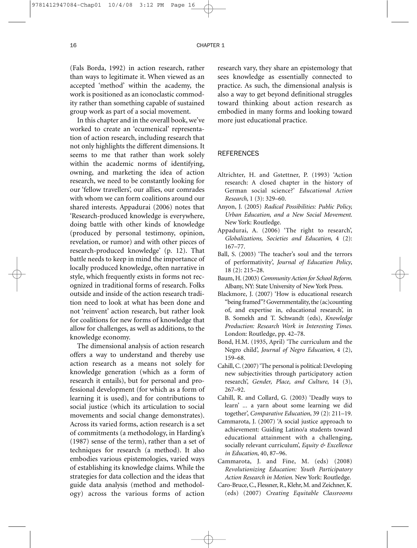(Fals Borda, 1992) in action research, rather than ways to legitimate it. When viewed as an accepted 'method' within the academy, the work is positioned as an iconoclastic commodity rather than something capable of sustained group work as part of a social movement.

In this chapter and in the overall book, we've worked to create an 'ecumenical' representation of action research, including research that not only highlights the different dimensions. It seems to me that rather than work solely within the academic norms of identifying, owning, and marketing the idea of action research, we need to be constantly looking for our 'fellow travellers', our allies, our comrades with whom we can form coalitions around our shared interests. Appadurai (2006) notes that 'Research-produced knowledge is everywhere, doing battle with other kinds of knowledge (produced by personal testimony, opinion, revelation, or rumor) and with other pieces of research-produced knowledge' (p. 12). That battle needs to keep in mind the importance of locally produced knowledge, often narrative in style, which frequently exists in forms not recognized in traditional forms of research. Folks outside and inside of the action research tradition need to look at what has been done and not 'reinvent' action research, but rather look for coalitions for new forms of knowledge that allow for challenges, as well as additions, to the knowledge economy.

The dimensional analysis of action research offers a way to understand and thereby use action research as a means not solely for knowledge generation (which as a form of research it entails), but for personal and professional development (for which as a form of learning it is used), and for contributions to social justice (which its articulation to social movements and social change demonstrates). Across its varied forms, action research is a set of commitments (a methodology, in Harding's (1987) sense of the term), rather than a set of techniques for research (a method). It also embodies various epistemologies, varied ways of establishing its knowledge claims. While the strategies for data collection and the ideas that guide data analysis (method and methodology) across the various forms of action research vary, they share an epistemology that sees knowledge as essentially connected to practice. As such, the dimensional analysis is also a way to get beyond definitional struggles toward thinking about action research as embodied in many forms and looking toward more just educational practice.

#### **REFERENCES**

- Altrichter, H. and Gstettner, P. (1993) 'Action research: A closed chapter in the history of German social science?' *Educational Action Research*, 1 (3): 329–60.
- Anyon, J. (2005) *Radical Possibilities: Public Policy, Urban Education, and a New Social Movement*. New York: Routledge.
- Appadurai, A. (2006) 'The right to research', *Globalizations, Societies and Education*, 4 (2): 167–77.
- Ball, S. (2003) 'The teacher's soul and the terrors of performativity', *Journal of Education Policy*, 18 (2): 215–28.
- Baum, H. (2003) *Community Action for School Reform*. Albany, NY: State University of New York Press.
- Blackmore, J. (2007) 'How is educational research "being framed"? Governmentality, the (ac)counting of, and expertise in, educational research', in B. Somekh and T. Schwandt (eds), *Knowledge Production: Research Work in Interesting Times*. London: Routledge, pp. 42–78.
- Bond, H.M. (1935, April) 'The curriculum and the Negro child', *Journal of Negro Education*, 4 (2), 159–68.
- Cahill, C. (2007) 'The personal is political: Developing new subjectivities through participatory action research', *Gender, Place, and Culture*, 14 (3), 267–92.
- Cahill, R. and Collard, G. (2003) 'Deadly ways to learn' ... a yarn about some learning we did together', *Comparative Education*, 39 (2): 211–19.
- Cammarota, J. (2007) 'A social justice approach to achievement: Guiding Latino/a students toward educational attainment with a challenging, socially relevant curriculum', *Equity & Excellence in Education*, 40, 87–96.
- Cammarota, J. and Fine, M. (eds) (2008) *Revolutionizing Education: Youth Participatory Action Research in Motion*. New York: Routledge.
- Caro-Bruce, C., Flessner, R., Klehr, M. and Zeichner, K. (eds) (2007) *Creating Equitable Classrooms*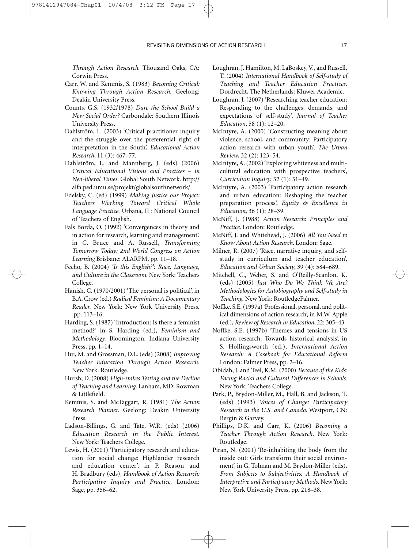*Through Action Research*. Thousand Oaks, CA: Corwin Press.

9781412947084-Chap01 10/4/08 3:12 PM Page 17

- Carr, W. and Kemmis, S. (1983) *Becoming Critical: Knowing Through Action Research*. Geelong: Deakin University Press.
- Counts, G.S. (1932/1978) *Dare the School Build a New Social Order?* Carbondale: Southern Illinois University Press.
- Dahlström, L. (2003) 'Critical practitioner inquiry and the struggle over the preferential right of interpretation in the South', *Educational Action Research*, 11 (3): 467–77.
- Dahlström, L. and Mannberg, J. (eds) (2006) *Critical Educational Visions and Practices – in Neo-liberal Times*. Global South Network. http:// alfa.ped.umu.se/projekt/globalsouthnetwork/
- Edelsky, C. (ed) (1999) *Making Justice our Project: Teachers Working Toward Critical Whole Language Practice*. Urbana, IL: National Council of Teachers of English.
- Fals Borda, O. (1992) 'Convergences in theory and in action for research, learning and management'. in C. Bruce and A. Russell, *Transforming Tomorrow Today: 2nd World Congress on Action Learning* Brisbane: ALARPM, pp. 11–18.
- Fecho, B. (2004) *'Is this English?': Race, Language, and Culture in the Classroom*. New York: Teachers College.
- Hanish, C. (1970/2001) 'The personal is political', in B.A. Crow (ed.) *Radical Feminism: A Documentary Reader.* New York: New York University Press. pp. 113–16.
- Harding, S. (1987) 'Introduction: Is there a feminist method?' in S. Harding (ed.), *Feminism and Methodology.* Bloomington: Indiana University Press, pp. 1–14.
- Hui, M. and Grossman, D.L. (eds) (2008) *Improving Teacher Education Through Action Research*. New York: Routledge.
- Hursh, D. (2008) *High-stakes Testing and the Decline of Teaching and Learning*. Lanham, MD: Rowman & Littlefield.
- Kemmis, S. and McTaggart, R. (1981) *The Action Research Planner*. Geelong: Deakin University Press.
- Ladson-Billings, G. and Tate, W.R. (eds) (2006) *Education Research in the Public Interest*. New York: Teachers College.
- Lewis, H. (2001) 'Participatory research and education for social change: Highlander research and education center', in P. Reason and H. Bradbury (eds), *Handbook of Action Research: Participative Inquiry and Practice*. London: Sage, pp. 356–62.
- Loughran, J. Hamilton, M. LaBoskey, V., and Russell, T. (2004) *International Handbook of Self-study of Teaching and Teacher Education Practices*. Dordrecht, The Netherlands: Kluwer Academic.
- Loughran, J. (2007) 'Researching teacher education: Responding to the challenges, demands, and expectations of self-study', *Journal of Teacher Education*, 58 (1): 12–20.
- McIntyre, A. (2000) 'Constructing meaning about violence, school, and community: Participatory action research with urban youth', *The Urban Review*, 32 (2): 123–54.
- McIntyre, A. (2002) 'Exploring whiteness and multicultural education with prospective teachers', *Curriculum Inquiry*, 32 (1): 31–49.
- McIntyre, A. (2003) 'Participatory action research and urban education: Reshaping the teacher preparation process', *Equity & Excellence in Education*, 36 (1): 28–39.
- McNiff, J. (1988) *Action Research*: *Principles and Practice*. London: Routledge.
- McNiff, J. and Whitehead, J. (2006) *All You Need to Know About Action Research*. London: Sage.
- Milner, R. (2007) 'Race, narrative inquiry, and selfstudy in curriculum and teacher education', *Education and Urban Society*, 39 (4): 584–689.
- Mitchell, C., Weber, S. and O'Reilly-Scanlon, K. (eds) (2005) *Just Who Do We Think We Are? Methodologies for Autobiography and Self-study in Teaching*. New York: RoutledgeFalmer.
- Noffke, S.E. (1997a) 'Professional, personal, and political dimensions of action research', in M.W. Apple (ed.), *Review of Research in Education*, 22: 305–43.
- Noffke, S.E. (1997b) 'Themes and tensions in US action research: Towards historical analysis', in S. Hollingsworth (ed.), *International Action Research: A Casebook for Educational Reform* London: Falmer Press, pp. 2–16.
- Obidah, J. and Teel, K.M. (2000) *Because of the Kids: Facing Racial and Cultural Differences in Schools*. New York: Teachers College.
- Park, P., Brydon-Miller, M., Hall, B. and Jackson, T. (eds) (1993) *Voices of Change: Participatory Research in the U.S. and Canada*. Westport, CN: Bergin & Garvey.
- Phillips, D.K. and Carr, K. (2006) *Becoming a Teacher Through Action Research*. New York: Routledge.
- Piran, N. (2001) 'Re-inhabiting the body from the inside out: Girls transform their social environment', in G. Tolman and M. Brydon-Miller (eds), *From Subjects to Subjectivities: A Handbook of Interpretive and Participatory Methods.* New York: New York University Press, pp. 218–38.